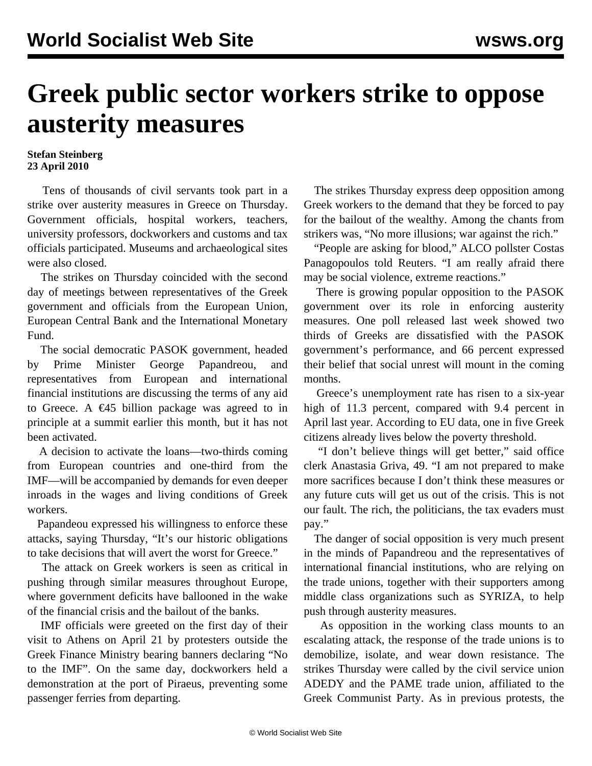## **Greek public sector workers strike to oppose austerity measures**

## **Stefan Steinberg 23 April 2010**

 Tens of thousands of civil servants took part in a strike over austerity measures in Greece on Thursday. Government officials, hospital workers, teachers, university professors, dockworkers and customs and tax officials participated. Museums and archaeological sites were also closed.

 The strikes on Thursday coincided with the second day of meetings between representatives of the Greek government and officials from the European Union, European Central Bank and the International Monetary Fund.

 The social democratic PASOK government, headed by Prime Minister George Papandreou, and representatives from European and international financial institutions are discussing the terms of any aid to Greece. A  $\epsilon$ 45 billion package was agreed to in principle at a summit earlier this month, but it has not been activated.

 A decision to activate the loans—two-thirds coming from European countries and one-third from the IMF—will be accompanied by demands for even deeper inroads in the wages and living conditions of Greek workers.

 Papandeou expressed his willingness to enforce these attacks, saying Thursday, "It's our historic obligations to take decisions that will avert the worst for Greece."

 The attack on Greek workers is seen as critical in pushing through similar measures throughout Europe, where government deficits have ballooned in the wake of the financial crisis and the bailout of the banks.

 IMF officials were greeted on the first day of their visit to Athens on April 21 by protesters outside the Greek Finance Ministry bearing banners declaring "No to the IMF". On the same day, dockworkers held a demonstration at the port of Piraeus, preventing some passenger ferries from departing.

 The strikes Thursday express deep opposition among Greek workers to the demand that they be forced to pay for the bailout of the wealthy. Among the chants from strikers was, "No more illusions; war against the rich."

 "People are asking for blood," ALCO pollster Costas Panagopoulos told Reuters. "I am really afraid there may be social violence, extreme reactions."

 There is growing popular opposition to the PASOK government over its role in enforcing austerity measures. One poll released last week showed two thirds of Greeks are dissatisfied with the PASOK government's performance, and 66 percent expressed their belief that social unrest will mount in the coming months.

 Greece's unemployment rate has risen to a six-year high of 11.3 percent, compared with 9.4 percent in April last year. According to EU data, one in five Greek citizens already lives below the poverty threshold.

 "I don't believe things will get better," said office clerk Anastasia Griva, 49. "I am not prepared to make more sacrifices because I don't think these measures or any future cuts will get us out of the crisis. This is not our fault. The rich, the politicians, the tax evaders must pay."

 The danger of social opposition is very much present in the minds of Papandreou and the representatives of international financial institutions, who are relying on the trade unions, together with their supporters among middle class organizations such as SYRIZA, to help push through austerity measures.

 As opposition in the working class mounts to an escalating attack, the response of the trade unions is to demobilize, isolate, and wear down resistance. The strikes Thursday were called by the civil service union ADEDY and the PAME trade union, affiliated to the Greek Communist Party. As in previous protests, the